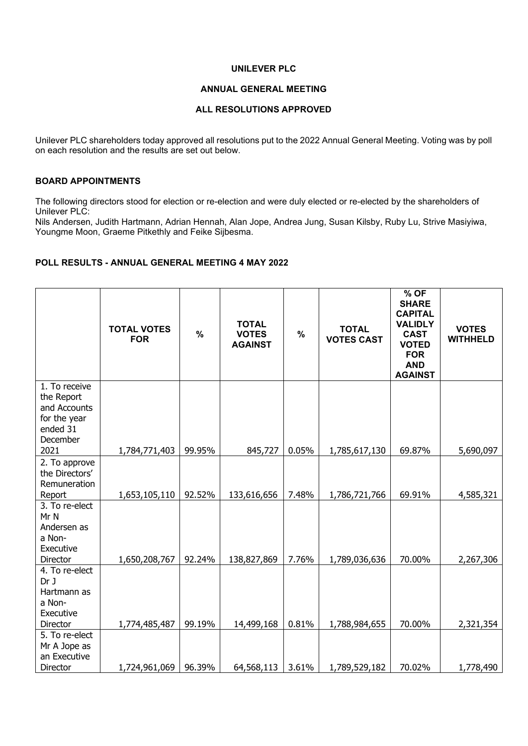## **UNILEVER PLC**

### **ANNUAL GENERAL MEETING**

### **ALL RESOLUTIONS APPROVED**

Unilever PLC shareholders today approved all resolutions put to the 2022 Annual General Meeting. Voting was by poll on each resolution and the results are set out below.

# **BOARD APPOINTMENTS**

The following directors stood for election or re-election and were duly elected or re-elected by the shareholders of Unilever PLC:

Nils Andersen, Judith Hartmann, Adrian Hennah, Alan Jope, Andrea Jung, Susan Kilsby, Ruby Lu, Strive Masiyiwa, Youngme Moon, Graeme Pitkethly and Feike Sijbesma.

## **POLL RESULTS - ANNUAL GENERAL MEETING 4 MAY 2022**

|                                                                                     | <b>TOTAL VOTES</b><br><b>FOR</b> | $\%$   | <b>TOTAL</b><br><b>VOTES</b><br><b>AGAINST</b> | $\%$  | <b>TOTAL</b><br><b>VOTES CAST</b> | % OF<br><b>SHARE</b><br><b>CAPITAL</b><br><b>VALIDLY</b><br><b>CAST</b><br><b>VOTED</b><br><b>FOR</b><br><b>AND</b><br><b>AGAINST</b> | <b>VOTES</b><br><b>WITHHELD</b> |
|-------------------------------------------------------------------------------------|----------------------------------|--------|------------------------------------------------|-------|-----------------------------------|---------------------------------------------------------------------------------------------------------------------------------------|---------------------------------|
| 1. To receive<br>the Report<br>and Accounts<br>for the year<br>ended 31<br>December |                                  |        |                                                |       |                                   |                                                                                                                                       |                                 |
| 2021<br>2. To approve                                                               | 1,784,771,403                    | 99.95% | 845,727                                        | 0.05% | 1,785,617,130                     | 69.87%                                                                                                                                | 5,690,097                       |
| the Directors'<br>Remuneration<br>Report                                            | 1,653,105,110                    | 92.52% | 133,616,656                                    | 7.48% | 1,786,721,766                     | 69.91%                                                                                                                                | 4,585,321                       |
| 3. To re-elect<br>Mr N<br>Andersen as<br>a Non-<br>Executive<br>Director            | 1,650,208,767                    | 92.24% | 138,827,869                                    | 7.76% | 1,789,036,636                     | 70.00%                                                                                                                                | 2,267,306                       |
| 4. To re-elect<br>Dr J<br>Hartmann as<br>a Non-<br>Executive<br>Director            | 1,774,485,487                    | 99.19% | 14,499,168                                     | 0.81% | 1,788,984,655                     | 70.00%                                                                                                                                | 2,321,354                       |
| 5. To re-elect<br>Mr A Jope as<br>an Executive<br>Director                          | 1,724,961,069                    | 96.39% | 64,568,113                                     | 3.61% | 1,789,529,182                     | 70.02%                                                                                                                                | 1,778,490                       |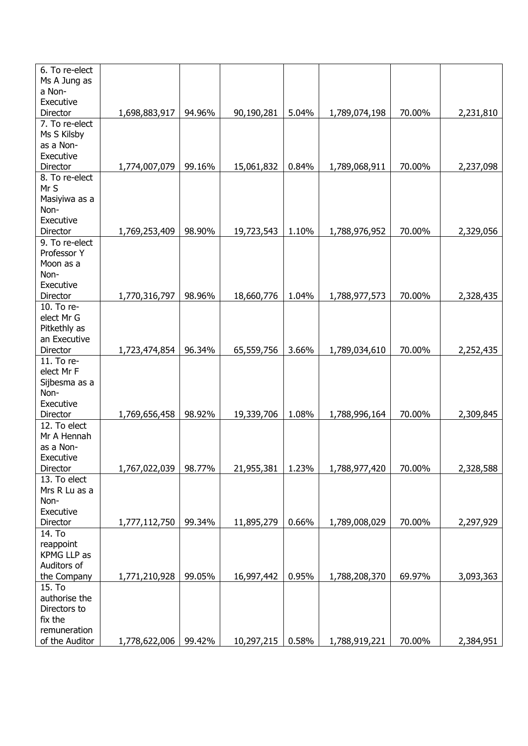| 6. To re-elect |               |        |            |       |               |        |           |
|----------------|---------------|--------|------------|-------|---------------|--------|-----------|
| Ms A Jung as   |               |        |            |       |               |        |           |
| a Non-         |               |        |            |       |               |        |           |
| Executive      |               |        |            |       |               |        |           |
| Director       | 1,698,883,917 | 94.96% | 90,190,281 | 5.04% | 1,789,074,198 | 70.00% | 2,231,810 |
| 7. To re-elect |               |        |            |       |               |        |           |
| Ms S Kilsby    |               |        |            |       |               |        |           |
| as a Non-      |               |        |            |       |               |        |           |
| Executive      |               |        |            |       |               |        |           |
| Director       | 1,774,007,079 | 99.16% | 15,061,832 | 0.84% | 1,789,068,911 | 70.00% | 2,237,098 |
| 8. To re-elect |               |        |            |       |               |        |           |
| Mr S           |               |        |            |       |               |        |           |
| Masiyiwa as a  |               |        |            |       |               |        |           |
| Non-           |               |        |            |       |               |        |           |
| Executive      |               |        |            |       |               |        |           |
| Director       | 1,769,253,409 | 98.90% | 19,723,543 | 1.10% | 1,788,976,952 | 70.00% | 2,329,056 |
| 9. To re-elect |               |        |            |       |               |        |           |
| Professor Y    |               |        |            |       |               |        |           |
|                |               |        |            |       |               |        |           |
| Moon as a      |               |        |            |       |               |        |           |
| Non-           |               |        |            |       |               |        |           |
| Executive      |               |        |            |       |               | 70.00% |           |
| Director       | 1,770,316,797 | 98.96% | 18,660,776 | 1.04% | 1,788,977,573 |        | 2,328,435 |
| 10. To re-     |               |        |            |       |               |        |           |
| elect Mr G     |               |        |            |       |               |        |           |
| Pitkethly as   |               |        |            |       |               |        |           |
| an Executive   |               |        |            |       |               |        |           |
| Director       | 1,723,474,854 | 96.34% | 65,559,756 | 3.66% | 1,789,034,610 | 70.00% | 2,252,435 |
| 11. To re-     |               |        |            |       |               |        |           |
| elect Mr F     |               |        |            |       |               |        |           |
| Sijbesma as a  |               |        |            |       |               |        |           |
| Non-           |               |        |            |       |               |        |           |
| Executive      |               |        |            |       |               |        |           |
| Director       | 1,769,656,458 | 98.92% | 19,339,706 | 1.08% | 1,788,996,164 | 70.00% | 2,309,845 |
| 12. To elect   |               |        |            |       |               |        |           |
| Mr A Hennah    |               |        |            |       |               |        |           |
| as a Non-      |               |        |            |       |               |        |           |
| Executive      |               |        |            |       |               |        |           |
| Director       | 1,767,022,039 | 98.77% | 21,955,381 | 1.23% | 1,788,977,420 | 70.00% | 2,328,588 |
| 13. To elect   |               |        |            |       |               |        |           |
| Mrs R Lu as a  |               |        |            |       |               |        |           |
| Non-           |               |        |            |       |               |        |           |
| Executive      |               |        |            |       |               |        |           |
| Director       | 1,777,112,750 | 99.34% | 11,895,279 | 0.66% | 1,789,008,029 | 70.00% | 2,297,929 |
| 14. To         |               |        |            |       |               |        |           |
| reappoint      |               |        |            |       |               |        |           |
| KPMG LLP as    |               |        |            |       |               |        |           |
| Auditors of    |               |        |            |       |               |        |           |
| the Company    | 1,771,210,928 | 99.05% | 16,997,442 | 0.95% | 1,788,208,370 | 69.97% | 3,093,363 |
| 15. To         |               |        |            |       |               |        |           |
| authorise the  |               |        |            |       |               |        |           |
| Directors to   |               |        |            |       |               |        |           |
| fix the        |               |        |            |       |               |        |           |
| remuneration   |               |        |            |       |               |        |           |
| of the Auditor | 1,778,622,006 | 99.42% | 10,297,215 | 0.58% | 1,788,919,221 | 70.00% | 2,384,951 |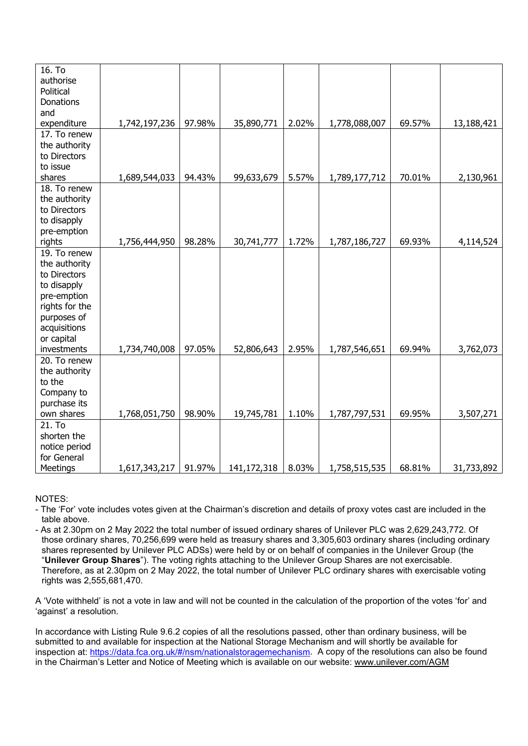| 16. To         |               |        |             |       |               |        |            |
|----------------|---------------|--------|-------------|-------|---------------|--------|------------|
| authorise      |               |        |             |       |               |        |            |
| Political      |               |        |             |       |               |        |            |
| Donations      |               |        |             |       |               |        |            |
| and            |               |        |             |       |               |        |            |
| expenditure    | 1,742,197,236 | 97.98% | 35,890,771  | 2.02% | 1,778,088,007 | 69.57% | 13,188,421 |
| 17. To renew   |               |        |             |       |               |        |            |
| the authority  |               |        |             |       |               |        |            |
| to Directors   |               |        |             |       |               |        |            |
| to issue       |               |        |             |       |               |        |            |
| shares         | 1,689,544,033 | 94.43% | 99,633,679  | 5.57% | 1,789,177,712 | 70.01% | 2,130,961  |
| 18. To renew   |               |        |             |       |               |        |            |
| the authority  |               |        |             |       |               |        |            |
| to Directors   |               |        |             |       |               |        |            |
| to disapply    |               |        |             |       |               |        |            |
| pre-emption    |               |        |             |       |               |        |            |
| rights         | 1,756,444,950 | 98.28% | 30,741,777  | 1.72% | 1,787,186,727 | 69.93% | 4,114,524  |
| 19. To renew   |               |        |             |       |               |        |            |
| the authority  |               |        |             |       |               |        |            |
| to Directors   |               |        |             |       |               |        |            |
| to disapply    |               |        |             |       |               |        |            |
| pre-emption    |               |        |             |       |               |        |            |
| rights for the |               |        |             |       |               |        |            |
| purposes of    |               |        |             |       |               |        |            |
| acquisitions   |               |        |             |       |               |        |            |
| or capital     |               |        |             |       |               |        |            |
| investments    | 1,734,740,008 | 97.05% | 52,806,643  | 2.95% | 1,787,546,651 | 69.94% | 3,762,073  |
| 20. To renew   |               |        |             |       |               |        |            |
| the authority  |               |        |             |       |               |        |            |
| to the         |               |        |             |       |               |        |            |
| Company to     |               |        |             |       |               |        |            |
| purchase its   |               |        |             |       |               |        |            |
| own shares     | 1,768,051,750 | 98.90% | 19,745,781  | 1.10% | 1,787,797,531 | 69.95% | 3,507,271  |
| 21. To         |               |        |             |       |               |        |            |
| shorten the    |               |        |             |       |               |        |            |
| notice period  |               |        |             |       |               |        |            |
| for General    |               |        |             |       |               |        |            |
| Meetings       | 1,617,343,217 | 91.97% | 141,172,318 | 8.03% | 1,758,515,535 | 68.81% | 31,733,892 |

NOTES:

- The 'For' vote includes votes given at the Chairman's discretion and details of proxy votes cast are included in the table above.
- As at 2.30pm on 2 May 2022 the total number of issued ordinary shares of Unilever PLC was 2,629,243,772. Of those ordinary shares, 70,256,699 were held as treasury shares and 3,305,603 ordinary shares (including ordinary shares represented by Unilever PLC ADSs) were held by or on behalf of companies in the Unilever Group (the "**Unilever Group Shares**"). The voting rights attaching to the Unilever Group Shares are not exercisable. Therefore, as at 2.30pm on 2 May 2022, the total number of Unilever PLC ordinary shares with exercisable voting rights was 2,555,681,470.

A 'Vote withheld' is not a vote in law and will not be counted in the calculation of the proportion of the votes 'for' and 'against' a resolution.

In accordance with Listing Rule 9.6.2 copies of all the resolutions passed, other than ordinary business, will be submitted to and available for inspection at the National Storage Mechanism and will shortly be available for inspection at: [https://data.fca.org.uk/#/nsm/nationalstoragemechanism.](https://data.fca.org.uk/#/nsm/nationalstoragemechanism) A copy of the resolutions can also be found in the Chairman's Letter and Notice of Meeting which is available on our website: [www.unilever.com/AGM](http://www.unilever.com/AGM)